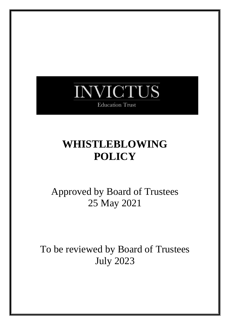

**Education Trust** 

# **WHISTLEBLOWING POLICY**

Approved by Board of Trustees 25 May 2021

To be reviewed by Board of Trustees July 2023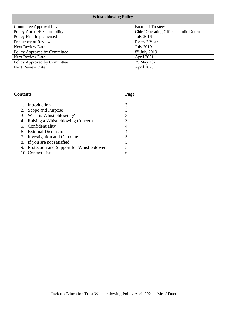| <b>Whistleblowing Policy</b> |                                       |  |  |
|------------------------------|---------------------------------------|--|--|
| Committee Approval Level     | <b>Board of Trustees</b>              |  |  |
| Policy Author/Responsibility | Chief Operating Officer - Julie Duern |  |  |
| Policy First Implemented     | <b>July 2016</b>                      |  |  |
| Frequency of Review          | Every 2 Years                         |  |  |
| <b>Next Review Date</b>      | <b>July 2019</b>                      |  |  |
| Policy Approved by Committee | $8th$ July 2019                       |  |  |
| <b>Next Review Date</b>      | April 2021                            |  |  |
| Policy Approved by Committee | 25 May 2021                           |  |  |
| Next Review Date             | April 2023                            |  |  |
|                              |                                       |  |  |
|                              |                                       |  |  |

## **Contents Page**

| 1. Introduction                              | 3 |
|----------------------------------------------|---|
| 2. Scope and Purpose                         | 3 |
| 3. What is Whistleblowing?                   | 3 |
| 4. Raising a Whistleblowing Concern          | 3 |
| 5. Confidentiality                           | 4 |
| 6. External Disclosures                      | 4 |
| 7. Investigation and Outcome                 | 5 |
| 8. If you are not satisfied                  | 5 |
| 9. Protection and Support for Whistleblowers | 5 |
| 10. Contact List                             | 6 |
|                                              |   |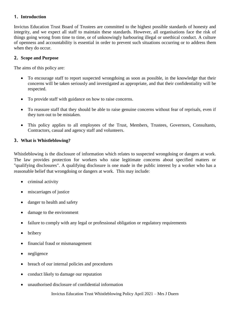#### **1. Introduction**

Invictus Education Trust Board of Trustees are committed to the highest possible standards of honesty and integrity, and we expect all staff to maintain these standards. However, all organisations face the risk of things going wrong from time to time, or of unknowingly harbouring illegal or unethical conduct. A culture of openness and accountability is essential in order to prevent such situations occurring or to address them when they do occur.

## **2. Scope and Purpose**

The aims of this policy are:

- To encourage staff to report suspected wrongdoing as soon as possible, in the knowledge that their concerns will be taken seriously and investigated as appropriate, and that their confidentiality will be respected.
- To provide staff with guidance on how to raise concerns.
- To reassure staff that they should be able to raise genuine concerns without fear of reprisals, even if they turn out to be mistaken.
- This policy applies to all employees of the Trust, Members, Trustees, Governors, Consultants, Contractors, casual and agency staff and volunteers.

## **3. What is Whistleblowing?**

Whistleblowing is the disclosure of information which relates to suspected wrongdoing or dangers at work. The law provides protection for workers who raise legitimate concerns about specified matters or "qualifying disclosures". A qualifying disclosure is one made in the public interest by a worker who has a reasonable belief that wrongdoing or dangers at work. This may include:

- criminal activity
- miscarriages of justice
- danger to health and safety
- damage to the environment
- failure to comply with any legal or professional obligation or regulatory requirements
- **bribery**
- financial fraud or mismanagement
- negligence
- breach of our internal policies and procedures
- conduct likely to damage our reputation
- unauthorised disclosure of confidential information

Invictus Education Trust Whistleblowing Policy April 2021 – Mrs J Duern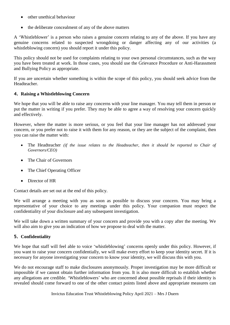- other unethical behaviour
- the deliberate concealment of any of the above matters

A 'Whistleblower' is a person who raises a genuine concern relating to any of the above. If you have any genuine concerns related to suspected wrongdoing or danger affecting any of our activities (a whistleblowing concern) you should report it under this policy.

This policy should not be used for complaints relating to your own personal circumstances, such as the way you have been treated at work. In those cases, you should use the Grievance Procedure or Anti-Harassment and Bullying Policy as appropriate.

If you are uncertain whether something is within the scope of this policy, you should seek advice from the Headteacher.

## **4. Raising a Whistleblowing Concern**

We hope that you will be able to raise any concerns with your line manager. You may tell them in person or put the matter in writing if you prefer. They may be able to agree a way of resolving your concern quickly and effectively.

However, where the matter is more serious, or you feel that your line manager has not addressed your concern, or you prefer not to raise it with them for any reason, or they are the subject of the complaint, then you can raise the matter with:

- The Headteacher *(if the issue relates to the Headteacher, then it should be reported to Chair of Governors/CEO)*
- The Chair of Governors
- The Chief Operating Officer
- Director of HR

Contact details are set out at the end of this policy.

We will arrange a meeting with you as soon as possible to discuss your concern. You may bring a representative of your choice to any meetings under this policy. Your companion must respect the confidentiality of your disclosure and any subsequent investigation.

We will take down a written summary of your concern and provide you with a copy after the meeting. We will also aim to give you an indication of how we propose to deal with the matter.

## **5. Confidentiality**

We hope that staff will feel able to voice 'whistleblowing' concerns openly under this policy. However, if you want to raise your concern confidentially, we will make every effort to keep your identity secret. If it is necessary for anyone investigating your concern to know your identity, we will discuss this with you.

We do not encourage staff to make disclosures anonymously. Proper investigation may be more difficult or impossible if we cannot obtain further information from you. It is also more difficult to establish whether any allegations are credible. 'Whistleblowers' who are concerned about possible reprisals if their identity is revealed should come forward to one of the other contact points listed above and appropriate measures can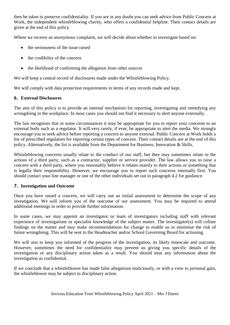then be taken to preserve confidentiality. If you are in any doubt you can seek advice from Public Concern at Work, the independent whistleblowing charity, who offers a confidential helpline. Their contact details are given at the end of this policy.

Where we receive an anonymous complaint, we will decide about whether to investigate based on:

- the seriousness of the issue raised
- the credibility of the concern
- the likelihood of confirming the allegation from other sources

We will keep a central record of disclosures made under the Whistleblowing Policy.

We will comply with data protection requirements in terms of any records made and kept.

#### **6. External Disclosures**

The aim of this policy is to provide an internal mechanism for reporting, investigating and remedying any wrongdoing in the workplace. In most cases you should not find it necessary to alert anyone externally.

The law recognises that in some circumstances it may be appropriate for you to report your concerns to an external body such as a regulator. It will very rarely, if ever, be appropriate to alert the media. We strongly encourage you to seek advice before reporting a concern to anyone external. Public Concern at Work holds a list of prescribed regulators for reporting certain types of concern. Their contact details are at the end of this policy. Alternatively, the list is available from the Department for Business, Innovation & Skills.

Whistleblowing concerns usually relate to the conduct of our staff, but they may sometimes relate to the actions of a third party, such as a contractor, supplier or service provider. The law allows you to raise a concern with a third party, where you reasonably believe it relates mainly to their actions or something that is legally their responsibility. However, we encourage you to report such concerns internally first. You should contact your line manager or one of the other individuals set out in paragraph 4.2 for guidance.

#### **7. Investigation and Outcome**

Once you have raised a concern, we will carry out an initial assessment to determine the scope of any investigation. We will inform you of the outcome of our assessment. You may be required to attend additional meetings in order to provide further information.

In some cases, we may appoint an investigator or team of investigators including staff with relevant experience of investigations or specialist knowledge of the subject matter. The investigator(s) will collate findings on the matter and may make recommendations for change to enable us to minimise the risk of future wrongdoing. This will be sent to the Headteacher and/or School Governing Board for actioning.

We will aim to keep you informed of the progress of the investigation, its likely timescale and outcome. However, sometimes the need for confidentiality may prevent us giving you specific details of the investigation or any disciplinary action taken as a result. You should treat any information about the investigation as confidential.

If we conclude that a whistleblower has made false allegations maliciously, or with a view to personal gain, the whistleblower may be subject to disciplinary action.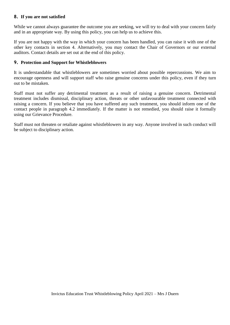#### **8. If you are not satisfied**

While we cannot always guarantee the outcome you are seeking, we will try to deal with your concern fairly and in an appropriate way. By using this policy, you can help us to achieve this.

If you are not happy with the way in which your concern has been handled, you can raise it with one of the other key contacts in section 4. Alternatively, you may contact the Chair of Governors or our external auditors. Contact details are set out at the end of this policy.

#### **9. Protection and Support for Whistleblowers**

It is understandable that whistleblowers are sometimes worried about possible repercussions. We aim to encourage openness and will support staff who raise genuine concerns under this policy, even if they turn out to be mistaken.

Staff must not suffer any detrimental treatment as a result of raising a genuine concern. Detrimental treatment includes dismissal, disciplinary action, threats or other unfavourable treatment connected with raising a concern. If you believe that you have suffered any such treatment, you should inform one of the contact people in paragraph 4.2 immediately. If the matter is not remedied, you should raise it formally using our Grievance Procedure.

Staff must not threaten or retaliate against whistleblowers in any way. Anyone involved in such conduct will be subject to disciplinary action.